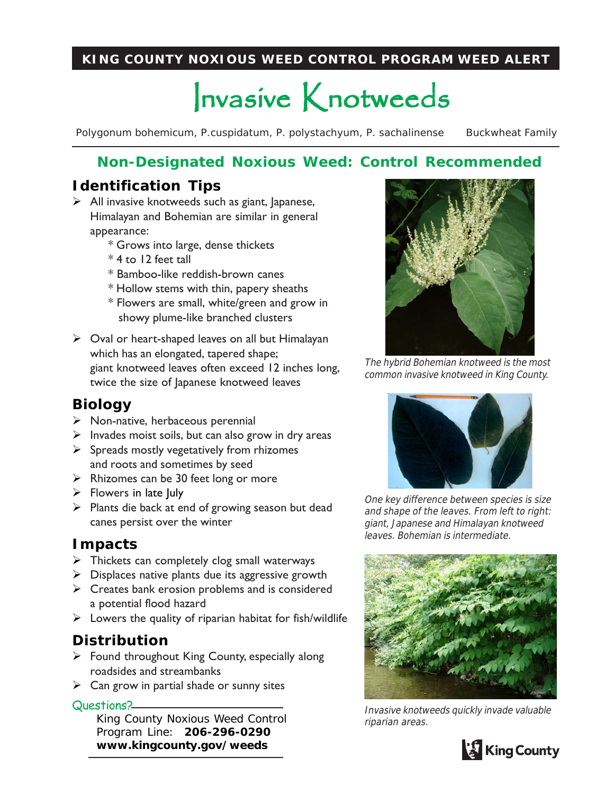#### **KING COUNTY NOXIOUS WEED CONTROL PROGRAM WEED ALERT**

# Invasive Knotweeds

*Polygonum bohemicum, P.cuspidatum, P. polystachyum, P. sachalinense* Buckwheat Family

## **Non-Designated Noxious Weed: Control Recommended**

## **Identification Tips**

- $\triangleright$  All invasive knotweeds such as giant, Japanese, Himalayan and Bohemian are similar in general appearance:
	- \* Grows into large, dense thickets
	- \* 4 to 12 feet tall
	- \* Bamboo-like reddish-brown canes
	- \* Hollow stems with thin, papery sheaths
	- \* Flowers are small, white/green and grow in showy plume-like branched clusters
- $\triangleright$  Oval or heart-shaped leaves on all but Himalayan which has an elongated, tapered shape; giant knotweed leaves often exceed 12 inches long, twice the size of Japanese knotweed leaves

## **Biology**

- $\triangleright$  Non-native, herbaceous perennial
- $\triangleright$  Invades moist soils, but can also grow in dry areas
- $\triangleright$  Spreads mostly vegetatively from rhizomes and roots and sometimes by seed
- $\triangleright$  Rhizomes can be 30 feet long or more
- $\triangleright$  Flowers in late July
- $\triangleright$  Plants die back at end of growing season but dead canes persist over the winter

#### **Impacts**

- $\triangleright$  Thickets can completely clog small waterways
- $\triangleright$  Displaces native plants due its aggressive growth
- $\triangleright$  Creates bank erosion problems and is considered a potential flood hazard
- $\triangleright$  Lowers the quality of riparian habitat for fish/wildlife

### **Distribution**

- $\triangleright$  Found throughout King County, especially along roadsides and streambanks
- $\triangleright$  Can grow in partial shade or sunny sites

#### Questions?

King County Noxious Weed Control Program Line: **206-296-0290 www.kingcounty.gov/weeds**



The hybrid Bohemian knotweed is the most common invasive knotweed in King County.



One key difference between species is size and shape of the leaves. From left to right: giant, Japanese and Himalayan knotweed leaves. Bohemian is intermediate.



Invasive knotweeds quickly invade valuable riparian areas.